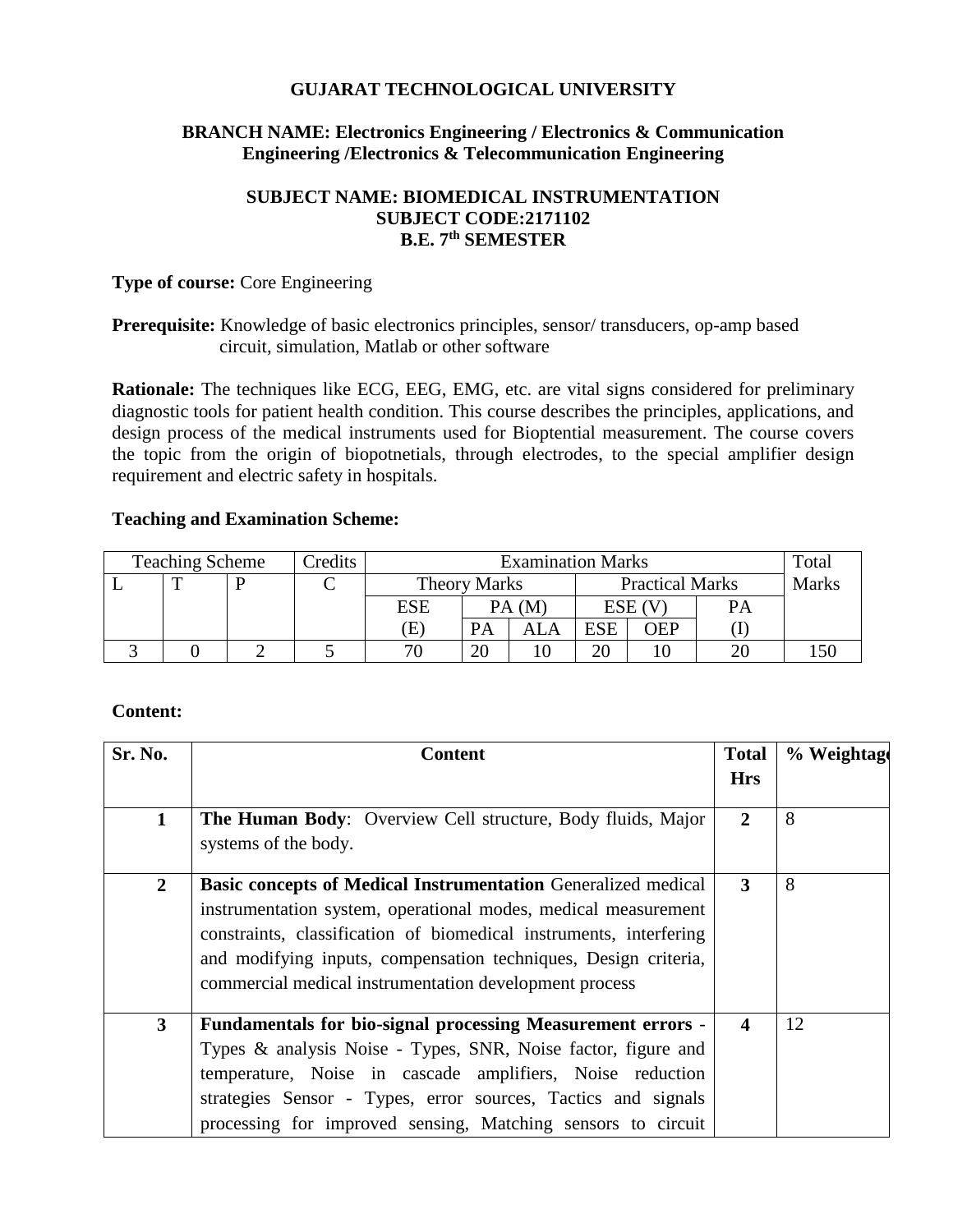## **GUJARAT TECHNOLOGICAL UNIVERSITY**

## **BRANCH NAME: Electronics Engineering / Electronics & Communication Engineering /Electronics & Telecommunication Engineering**

## **SUBJECT NAME: BIOMEDICAL INSTRUMENTATION SUBJECT CODE:2171102 B.E. 7 th SEMESTER**

#### **Type of course:** Core Engineering

#### **Prerequisite:** Knowledge of basic electronics principles, sensor/ transducers, op-amp based circuit, simulation, Matlab or other software

**Rationale:** The techniques like ECG, EEG, EMG, etc. are vital signs considered for preliminary diagnostic tools for patient health condition. This course describes the principles, applications, and design process of the medical instruments used for Bioptential measurement. The course covers the topic from the origin of biopotnetials, through electrodes, to the special amplifier design requirement and electric safety in hospitals.

#### **Teaching and Examination Scheme:**

| <b>Teaching Scheme</b> |  |  | Credits | <b>Examination Marks</b> |           |                        |            |     | Total        |  |
|------------------------|--|--|---------|--------------------------|-----------|------------------------|------------|-----|--------------|--|
|                        |  |  |         | <b>Theory Marks</b>      |           | <b>Practical Marks</b> |            |     | <b>Marks</b> |  |
|                        |  |  |         | ESE                      | PA (M     |                        | ESE (V     |     | PA           |  |
|                        |  |  |         | E)                       | <b>PA</b> | ALA                    | <b>ESE</b> | WEP |              |  |
|                        |  |  |         | חר                       | 20        |                        | nη         |     |              |  |

## **Content:**

| Sr. No.        | <b>Content</b>                                                                                                                                                                                                                                                                                                                            | <b>Total</b><br><b>Hrs</b> | % Weightage |
|----------------|-------------------------------------------------------------------------------------------------------------------------------------------------------------------------------------------------------------------------------------------------------------------------------------------------------------------------------------------|----------------------------|-------------|
| $\mathbf{1}$   | The Human Body: Overview Cell structure, Body fluids, Major<br>systems of the body.                                                                                                                                                                                                                                                       | $\mathbf{2}$               | 8           |
| $\overline{2}$ | <b>Basic concepts of Medical Instrumentation Generalized medical</b><br>instrumentation system, operational modes, medical measurement<br>constraints, classification of biomedical instruments, interfering<br>and modifying inputs, compensation techniques, Design criteria,<br>commercial medical instrumentation development process | 3                          | 8           |
| $\mathbf{3}$   | <b>Fundamentals for bio-signal processing Measurement errors -</b><br>Types & analysis Noise - Types, SNR, Noise factor, figure and<br>temperature, Noise in cascade amplifiers, Noise reduction<br>strategies Sensor - Types, error sources, Tactics and signals<br>processing for improved sensing, Matching sensors to circuit         |                            | 12          |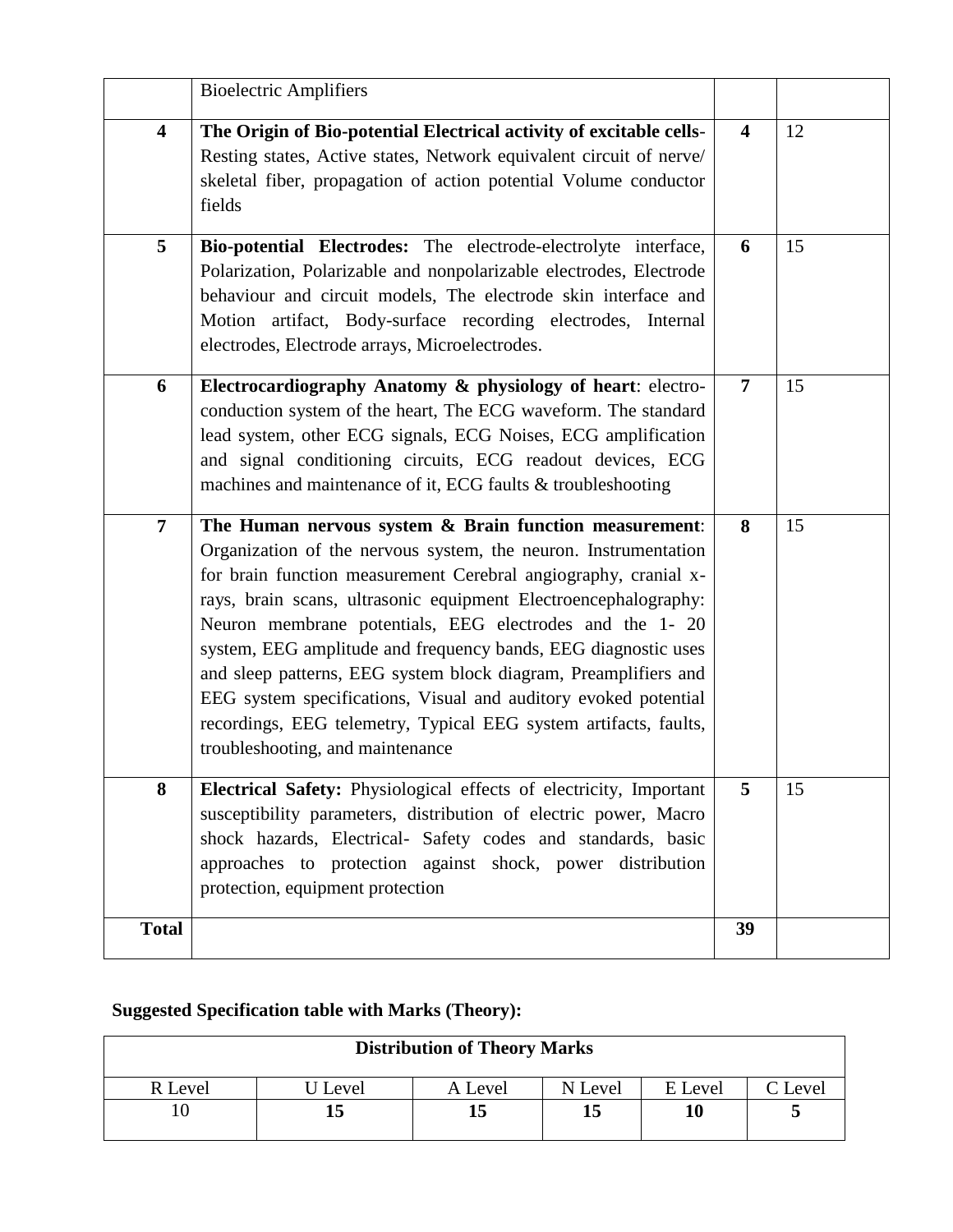|                         | <b>Bioelectric Amplifiers</b>                                                                                                                                                                                                                                                                                                                                                                                                                                                                                                                                                                                                              |                         |    |
|-------------------------|--------------------------------------------------------------------------------------------------------------------------------------------------------------------------------------------------------------------------------------------------------------------------------------------------------------------------------------------------------------------------------------------------------------------------------------------------------------------------------------------------------------------------------------------------------------------------------------------------------------------------------------------|-------------------------|----|
| $\overline{\mathbf{4}}$ | The Origin of Bio-potential Electrical activity of excitable cells-<br>Resting states, Active states, Network equivalent circuit of nerve/<br>skeletal fiber, propagation of action potential Volume conductor<br>fields                                                                                                                                                                                                                                                                                                                                                                                                                   | $\overline{\mathbf{4}}$ | 12 |
| 5                       | Bio-potential Electrodes: The electrode-electrolyte interface,<br>Polarization, Polarizable and nonpolarizable electrodes, Electrode<br>behaviour and circuit models, The electrode skin interface and<br>Motion artifact, Body-surface recording electrodes, Internal<br>electrodes, Electrode arrays, Microelectrodes.                                                                                                                                                                                                                                                                                                                   | 6                       | 15 |
| 6                       | Electrocardiography Anatomy & physiology of heart: electro-<br>conduction system of the heart, The ECG waveform. The standard<br>lead system, other ECG signals, ECG Noises, ECG amplification<br>and signal conditioning circuits, ECG readout devices, ECG<br>machines and maintenance of it, ECG faults & troubleshooting                                                                                                                                                                                                                                                                                                               | $\overline{7}$          | 15 |
| $\overline{7}$          | The Human nervous system & Brain function measurement:<br>Organization of the nervous system, the neuron. Instrumentation<br>for brain function measurement Cerebral angiography, cranial x-<br>rays, brain scans, ultrasonic equipment Electroencephalography:<br>Neuron membrane potentials, EEG electrodes and the 1-20<br>system, EEG amplitude and frequency bands, EEG diagnostic uses<br>and sleep patterns, EEG system block diagram, Preamplifiers and<br>EEG system specifications, Visual and auditory evoked potential<br>recordings, EEG telemetry, Typical EEG system artifacts, faults,<br>troubleshooting, and maintenance | 8                       | 15 |
| 8                       | Electrical Safety: Physiological effects of electricity, Important<br>susceptibility parameters, distribution of electric power, Macro<br>shock hazards, Electrical- Safety codes and standards, basic<br>approaches to protection against shock, power distribution<br>protection, equipment protection                                                                                                                                                                                                                                                                                                                                   | 5                       | 15 |
| <b>Total</b>            |                                                                                                                                                                                                                                                                                                                                                                                                                                                                                                                                                                                                                                            | 39                      |    |

# **Suggested Specification table with Marks (Theory):**

| <b>Distribution of Theory Marks</b> |         |         |         |         |         |  |  |
|-------------------------------------|---------|---------|---------|---------|---------|--|--|
| R Level                             | U Level | A Level | N Level | E Level | C Level |  |  |
|                                     | 15      | 15      |         |         |         |  |  |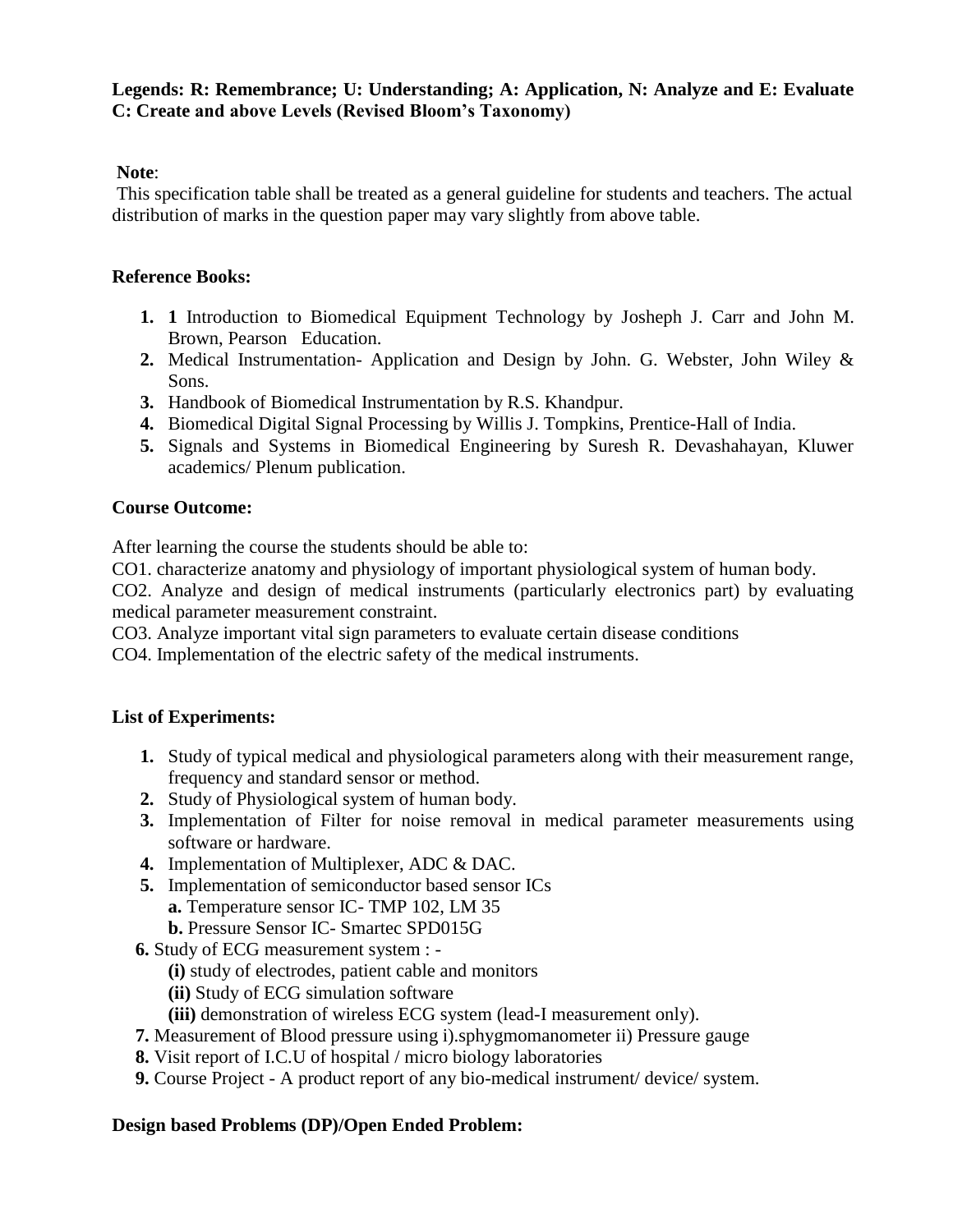#### **Legends: R: Remembrance; U: Understanding; A: Application, N: Analyze and E: Evaluate C: Create and above Levels (Revised Bloom's Taxonomy)**

# **Note**:

This specification table shall be treated as a general guideline for students and teachers. The actual distribution of marks in the question paper may vary slightly from above table.

## **Reference Books:**

- **1. 1** Introduction to Biomedical Equipment Technology by Josheph J. Carr and John M. Brown, Pearson Education.
- **2.** Medical Instrumentation- Application and Design by John. G. Webster, John Wiley & Sons.
- **3.** Handbook of Biomedical Instrumentation by R.S. Khandpur.
- **4.** Biomedical Digital Signal Processing by Willis J. Tompkins, Prentice-Hall of India.
- **5.** Signals and Systems in Biomedical Engineering by Suresh R. Devashahayan, Kluwer academics/ Plenum publication.

## **Course Outcome:**

After learning the course the students should be able to:

CO1. characterize anatomy and physiology of important physiological system of human body.

CO2. Analyze and design of medical instruments (particularly electronics part) by evaluating medical parameter measurement constraint.

CO3. Analyze important vital sign parameters to evaluate certain disease conditions

CO4. Implementation of the electric safety of the medical instruments.

## **List of Experiments:**

- **1.** Study of typical medical and physiological parameters along with their measurement range, frequency and standard sensor or method.
- **2.** Study of Physiological system of human body.
- **3.** Implementation of Filter for noise removal in medical parameter measurements using software or hardware.
- **4.** Implementation of Multiplexer, ADC & DAC.
- **5.** Implementation of semiconductor based sensor ICs **a.** Temperature sensor IC- TMP 102, LM 35
	- **b.** Pressure Sensor IC- Smartec SPD015G
- **6.** Study of ECG measurement system :
	- **(i)** study of electrodes, patient cable and monitors
	- **(ii)** Study of ECG simulation software
	- **(iii)** demonstration of wireless ECG system (lead-I measurement only).
- **7.** Measurement of Blood pressure using i).sphygmomanometer ii) Pressure gauge
- **8.** Visit report of I.C.U of hospital / micro biology laboratories
- **9.** Course Project A product report of any bio-medical instrument/ device/ system.

## **Design based Problems (DP)/Open Ended Problem:**